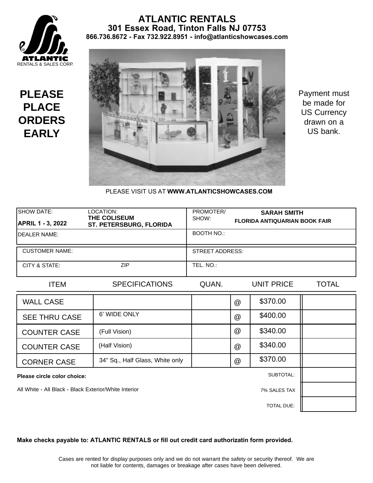

#### **ATLANTIC RENTALS 301 Essex Road, Tinton Falls NJ 07753 866.736.8672 - Fax 732.922.8951 - info@atlanticshowcases.com**

**PLEASE PLACE ORDERS EARLY**



Payment must be made for US Currency drawn on a US bank.

PLEASE VISIT US AT **WWW.ATLANTICSHOWCASES.COM** 

| <b>SHOW DATE:</b><br><b>APRIL 1 - 3, 2022</b>         | LOCATION:<br><b>THE COLISEUM</b><br>ST. PETERSBURG, FLORIDA | PROMOTER/<br>SHOW:     |                 | <b>SARAH SMITH</b><br><b>FLORIDA ANTIQUARIAN BOOK FAIR</b> |              |
|-------------------------------------------------------|-------------------------------------------------------------|------------------------|-----------------|------------------------------------------------------------|--------------|
| <b>IDEALER NAME:</b>                                  |                                                             | <b>BOOTH NO.:</b>      |                 |                                                            |              |
| <b>CUSTOMER NAME:</b>                                 |                                                             | <b>STREET ADDRESS:</b> |                 |                                                            |              |
| CITY & STATE:                                         | <b>ZIP</b>                                                  | TEL. NO.:              |                 |                                                            |              |
| <b>ITEM</b>                                           | <b>SPECIFICATIONS</b>                                       | QUAN.                  |                 | <b>UNIT PRICE</b>                                          | <b>TOTAL</b> |
| <b>WALL CASE</b>                                      |                                                             |                        | @               | \$370.00                                                   |              |
| <b>SEE THRU CASE</b>                                  | 6' WIDE ONLY                                                |                        | $^{\copyright}$ | \$400.00                                                   |              |
| <b>COUNTER CASE</b>                                   | (Full Vision)                                               |                        | @               | \$340.00                                                   |              |
| <b>COUNTER CASE</b>                                   | (Half Vision)                                               |                        | $^{\copyright}$ | \$340.00                                                   |              |
| <b>CORNER CASE</b>                                    | 34" Sq., Half Glass, White only                             |                        | @               | \$370.00                                                   |              |
| Please circle color choice:                           |                                                             |                        |                 | SUBTOTAL:                                                  |              |
| All White - All Black - Black Exterior/White Interior |                                                             |                        | 7% SALES TAX    |                                                            |              |
|                                                       |                                                             |                        |                 | <b>TOTAL DUE:</b>                                          |              |

#### **Make checks payable to: ATLANTIC RENTALS or fill out credit card authorizatin form provided.**